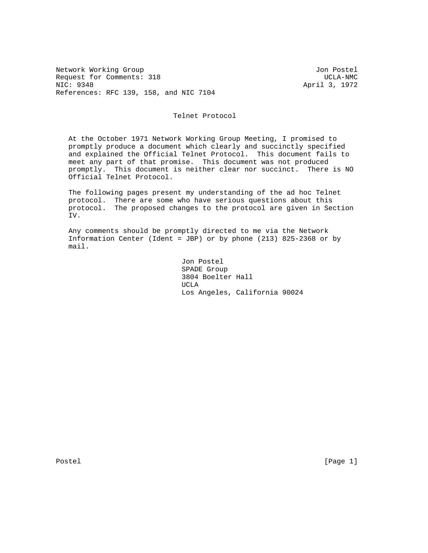Network Working Group Jon Postel Request for Comments: 318 UCLA-NMC<br>NIC: 9348 2011 1972 References: RFC 139, 158, and NIC 7104

April 3, 1972

## Telnet Protocol

 At the October 1971 Network Working Group Meeting, I promised to promptly produce a document which clearly and succinctly specified and explained the Official Telnet Protocol. This document fails to meet any part of that promise. This document was not produced promptly. This document is neither clear nor succinct. There is NO Official Telnet Protocol.

 The following pages present my understanding of the ad hoc Telnet protocol. There are some who have serious questions about this protocol. The proposed changes to the protocol are given in Section IV.

 Any comments should be promptly directed to me via the Network Information Center (Ident = JBP) or by phone (213) 825-2368 or by mail.

 Jon Postel SPADE Group 3804 Boelter Hall UCLA Los Angeles, California 90024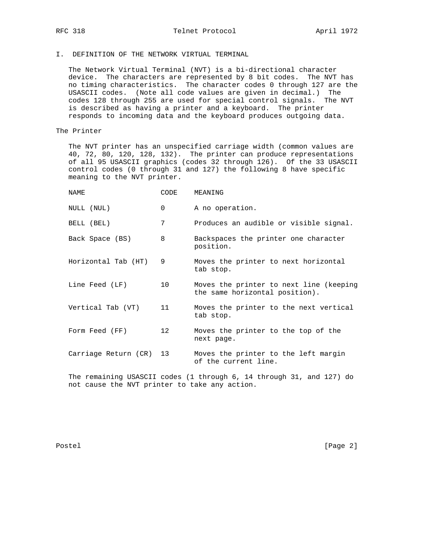I. DEFINITION OF THE NETWORK VIRTUAL TERMINAL

 The Network Virtual Terminal (NVT) is a bi-directional character device. The characters are represented by 8 bit codes. The NVT has no timing characteristics. The character codes 0 through 127 are the USASCII codes. (Note all code values are given in decimal.) The codes 128 through 255 are used for special control signals. The NVT is described as having a printer and a keyboard. The printer responds to incoming data and the keyboard produces outgoing data.

## The Printer

 The NVT printer has an unspecified carriage width (common values are 40, 72, 80, 120, 128, 132). The printer can produce representations of all 95 USASCII graphics (codes 32 through 126). Of the 33 USASCII control codes (0 through 31 and 127) the following 8 have specific meaning to the NVT printer.

| NAME                 | CODE            | MEANING                                                                   |
|----------------------|-----------------|---------------------------------------------------------------------------|
| NULL (NUL)           | $\Omega$        | A no operation.                                                           |
| BELL (BEL)           | 7               | Produces an audible or visible signal.                                    |
| Back Space (BS)      | 8               | Backspaces the printer one character<br>position.                         |
| Horizontal Tab (HT)  | 9               | Moves the printer to next horizontal<br>tab stop.                         |
| Line Feed (LF)       | 10 <sup>°</sup> | Moves the printer to next line (keeping<br>the same horizontal position). |
| Vertical Tab (VT)    | 11              | Moves the printer to the next vertical<br>tab stop.                       |
| Form Feed (FF)       | 12              | Moves the printer to the top of the<br>next page.                         |
| Carriage Return (CR) | 13              | Moves the printer to the left margin<br>of the current line.              |
|                      |                 | The remaining USASCII codes (1 through 6, 14 through 31, and 127) do      |

 The remaining USASCII codes (1 through 6, 14 through 31, and 127) do not cause the NVT printer to take any action.

Postel [Page 2]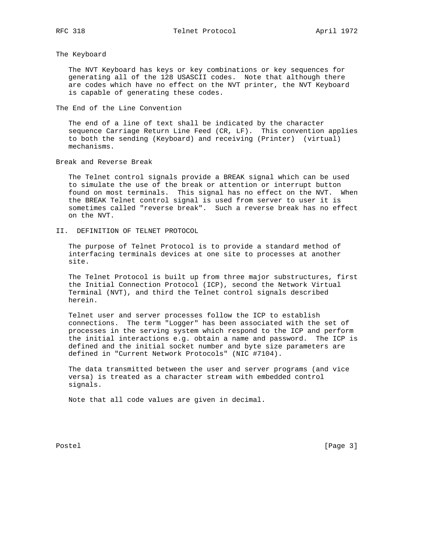The Keyboard

 The NVT Keyboard has keys or key combinations or key sequences for generating all of the 128 USASCII codes. Note that although there are codes which have no effect on the NVT printer, the NVT Keyboard is capable of generating these codes.

The End of the Line Convention

 The end of a line of text shall be indicated by the character sequence Carriage Return Line Feed (CR, LF). This convention applies to both the sending (Keyboard) and receiving (Printer) (virtual) mechanisms.

Break and Reverse Break

 The Telnet control signals provide a BREAK signal which can be used to simulate the use of the break or attention or interrupt button found on most terminals. This signal has no effect on the NVT. When the BREAK Telnet control signal is used from server to user it is sometimes called "reverse break". Such a reverse break has no effect on the NVT.

II. DEFINITION OF TELNET PROTOCOL

 The purpose of Telnet Protocol is to provide a standard method of interfacing terminals devices at one site to processes at another site.

 The Telnet Protocol is built up from three major substructures, first the Initial Connection Protocol (ICP), second the Network Virtual Terminal (NVT), and third the Telnet control signals described herein.

 Telnet user and server processes follow the ICP to establish connections. The term "Logger" has been associated with the set of processes in the serving system which respond to the ICP and perform the initial interactions e.g. obtain a name and password. The ICP is defined and the initial socket number and byte size parameters are defined in "Current Network Protocols" (NIC #7104).

 The data transmitted between the user and server programs (and vice versa) is treated as a character stream with embedded control signals.

Note that all code values are given in decimal.

Postel [Page 3]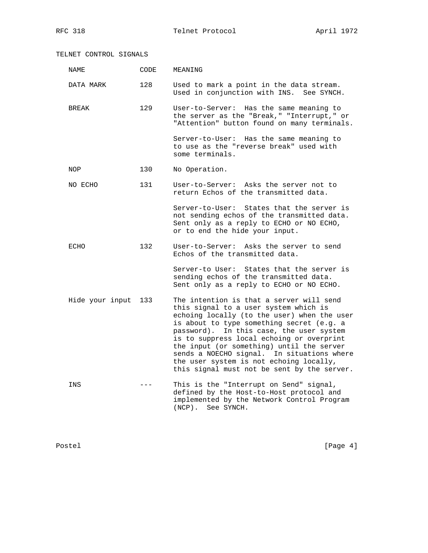TELNET CONTROL SIGNALS NAME CODE MEANING DATA MARK 128 Used to mark a point in the data stream. Used in conjunction with INS. See SYNCH. BREAK 129 User-to-Server: Has the same meaning to the server as the "Break," "Interrupt," or "Attention" button found on many terminals. Server-to-User: Has the same meaning to to use as the "reverse break" used with some terminals. NOP 130 No Operation. NO ECHO 131 User-to-Server: Asks the server not to return Echos of the transmitted data. Server-to-User: States that the server is not sending echos of the transmitted data. Sent only as a reply to ECHO or NO ECHO, or to end the hide your input. ECHO 132 User-to-Server: Asks the server to send Echos of the transmitted data. Server-to User: States that the server is sending echos of the transmitted data. Sent only as a reply to ECHO or NO ECHO. Hide your input 133 The intention is that a server will send this signal to a user system which is echoing locally (to the user) when the user is about to type something secret (e.g. a password). In this case, the user system is to suppress local echoing or overprint the input (or something) until the server sends a NOECHO signal. In situations where the user system is not echoing locally, this signal must not be sent by the server. INS --- This is the "Interrupt on Send" signal, defined by the Host-to-Host protocol and implemented by the Network Control Program (NCP). See SYNCH.

Postel [Page 4] [Page 4]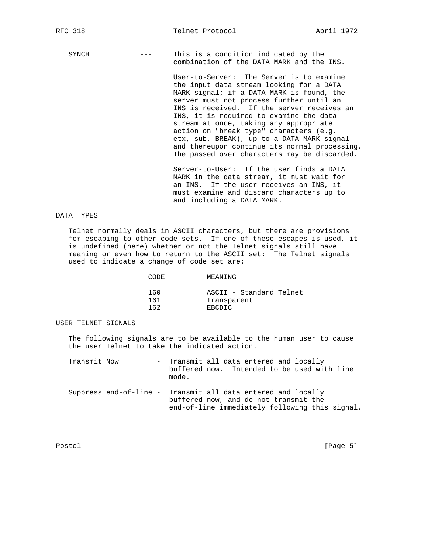SYNCH --- This is a condition indicated by the combination of the DATA MARK and the INS.

> User-to-Server: The Server is to examine the input data stream looking for a DATA MARK signal; if a DATA MARK is found, the server must not process further until an INS is received. If the server receives an INS, it is required to examine the data stream at once, taking any appropriate action on "break type" characters (e.g. etx, sub, BREAK), up to a DATA MARK signal and thereupon continue its normal processing. The passed over characters may be discarded.

 Server-to-User: If the user finds a DATA MARK in the data stream, it must wait for an INS. If the user receives an INS, it must examine and discard characters up to and including a DATA MARK.

#### DATA TYPES

 Telnet normally deals in ASCII characters, but there are provisions for escaping to other code sets. If one of these escapes is used, it is undefined (here) whether or not the Telnet signals still have meaning or even how to return to the ASCII set: The Telnet signals used to indicate a change of code set are:

| CODE. | MEANING                 |
|-------|-------------------------|
| 160   | ASCII - Standard Telnet |
| 161   | Transparent             |
| 162   | EBCDIC                  |

USER TELNET SIGNALS

 The following signals are to be available to the human user to cause the user Telnet to take the indicated action.

| Transmit Now | - Transmit all data entered and locally<br>buffered now. Intended to be used with line<br>mode.                                                         |
|--------------|---------------------------------------------------------------------------------------------------------------------------------------------------------|
|              | Suppress end-of-line - Transmit all data entered and locally<br>buffered now, and do not transmit the<br>end-of-line immediately following this signal. |

Postel [Page 5]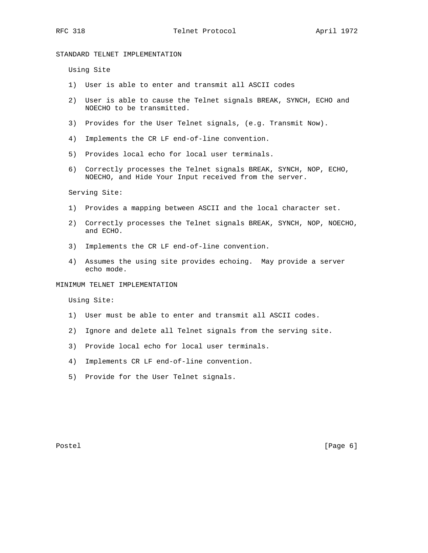## STANDARD TELNET IMPLEMENTATION

Using Site

- 1) User is able to enter and transmit all ASCII codes
- 2) User is able to cause the Telnet signals BREAK, SYNCH, ECHO and NOECHO to be transmitted.
- 3) Provides for the User Telnet signals, (e.g. Transmit Now).
- 4) Implements the CR LF end-of-line convention.
- 5) Provides local echo for local user terminals.
- 6) Correctly processes the Telnet signals BREAK, SYNCH, NOP, ECHO, NOECHO, and Hide Your Input received from the server.

Serving Site:

- 1) Provides a mapping between ASCII and the local character set.
- 2) Correctly processes the Telnet signals BREAK, SYNCH, NOP, NOECHO, and ECHO.
- 3) Implements the CR LF end-of-line convention.
- 4) Assumes the using site provides echoing. May provide a server echo mode.

## MINIMUM TELNET IMPLEMENTATION

Using Site:

- 1) User must be able to enter and transmit all ASCII codes.
- 2) Ignore and delete all Telnet signals from the serving site.
- 3) Provide local echo for local user terminals.
- 4) Implements CR LF end-of-line convention.
- 5) Provide for the User Telnet signals.

Postel [Page 6]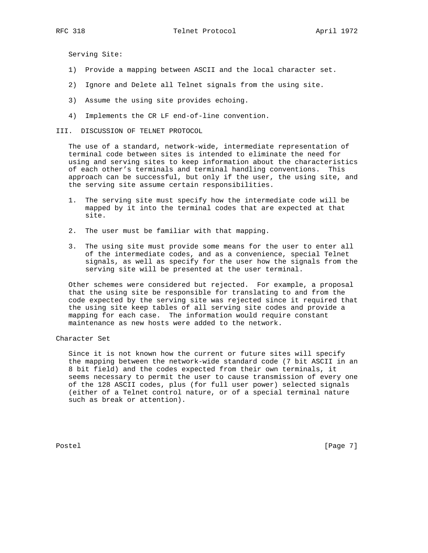Serving Site:

- 1) Provide a mapping between ASCII and the local character set.
- 2) Ignore and Delete all Telnet signals from the using site.
- 3) Assume the using site provides echoing.
- 4) Implements the CR LF end-of-line convention.
- III. DISCUSSION OF TELNET PROTOCOL

 The use of a standard, network-wide, intermediate representation of terminal code between sites is intended to eliminate the need for using and serving sites to keep information about the characteristics of each other's terminals and terminal handling conventions. This approach can be successful, but only if the user, the using site, and the serving site assume certain responsibilities.

- 1. The serving site must specify how the intermediate code will be mapped by it into the terminal codes that are expected at that site.
- 2. The user must be familiar with that mapping.
- 3. The using site must provide some means for the user to enter all of the intermediate codes, and as a convenience, special Telnet signals, as well as specify for the user how the signals from the serving site will be presented at the user terminal.

 Other schemes were considered but rejected. For example, a proposal that the using site be responsible for translating to and from the code expected by the serving site was rejected since it required that the using site keep tables of all serving site codes and provide a mapping for each case. The information would require constant maintenance as new hosts were added to the network.

Character Set

 Since it is not known how the current or future sites will specify the mapping between the network-wide standard code (7 bit ASCII in an 8 bit field) and the codes expected from their own terminals, it seems necessary to permit the user to cause transmission of every one of the 128 ASCII codes, plus (for full user power) selected signals (either of a Telnet control nature, or of a special terminal nature such as break or attention).

Postel [Page 7]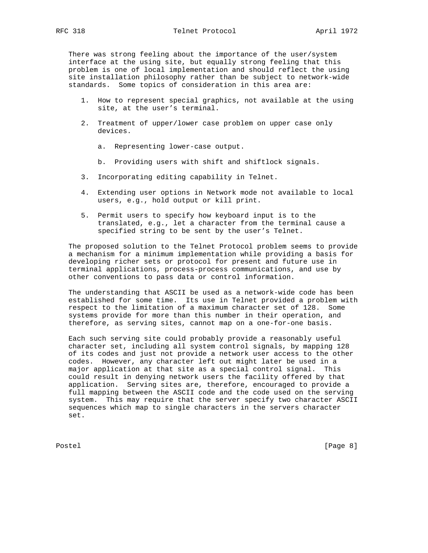There was strong feeling about the importance of the user/system interface at the using site, but equally strong feeling that this problem is one of local implementation and should reflect the using site installation philosophy rather than be subject to network-wide standards. Some topics of consideration in this area are:

- 1. How to represent special graphics, not available at the using site, at the user's terminal.
- 2. Treatment of upper/lower case problem on upper case only devices.
	- a. Representing lower-case output.
	- b. Providing users with shift and shiftlock signals.
- 3. Incorporating editing capability in Telnet.
- 4. Extending user options in Network mode not available to local users, e.g., hold output or kill print.
- 5. Permit users to specify how keyboard input is to the translated, e.g., let a character from the terminal cause a specified string to be sent by the user's Telnet.

 The proposed solution to the Telnet Protocol problem seems to provide a mechanism for a minimum implementation while providing a basis for developing richer sets or protocol for present and future use in terminal applications, process-process communications, and use by other conventions to pass data or control information.

 The understanding that ASCII be used as a network-wide code has been established for some time. Its use in Telnet provided a problem with respect to the limitation of a maximum character set of 128. Some systems provide for more than this number in their operation, and therefore, as serving sites, cannot map on a one-for-one basis.

 Each such serving site could probably provide a reasonably useful character set, including all system control signals, by mapping 128 of its codes and just not provide a network user access to the other codes. However, any character left out might later be used in a major application at that site as a special control signal. This could result in denying network users the facility offered by that application. Serving sites are, therefore, encouraged to provide a full mapping between the ASCII code and the code used on the serving system. This may require that the server specify two character ASCII sequences which map to single characters in the servers character set.

Postel [Page 8]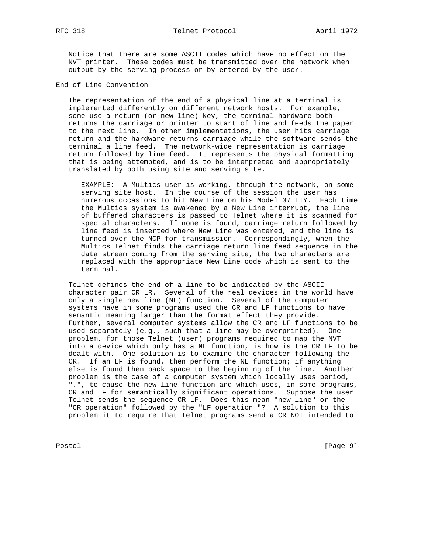Notice that there are some ASCII codes which have no effect on the NVT printer. These codes must be transmitted over the network when output by the serving process or by entered by the user.

End of Line Convention

 The representation of the end of a physical line at a terminal is implemented differently on different network hosts. For example, some use a return (or new line) key, the terminal hardware both returns the carriage or printer to start of line and feeds the paper to the next line. In other implementations, the user hits carriage return and the hardware returns carriage while the software sends the terminal a line feed. The network-wide representation is carriage return followed by line feed. It represents the physical formatting that is being attempted, and is to be interpreted and appropriately translated by both using site and serving site.

 EXAMPLE: A Multics user is working, through the network, on some serving site host. In the course of the session the user has numerous occasions to hit New Line on his Model 37 TTY. Each time the Multics system is awakened by a New Line interrupt, the line of buffered characters is passed to Telnet where it is scanned for special characters. If none is found, carriage return followed by line feed is inserted where New Line was entered, and the line is turned over the NCP for transmission. Correspondingly, when the Multics Telnet finds the carriage return line feed sequence in the data stream coming from the serving site, the two characters are replaced with the appropriate New Line code which is sent to the terminal.

 Telnet defines the end of a line to be indicated by the ASCII character pair CR LR. Several of the real devices in the world have only a single new line (NL) function. Several of the computer systems have in some programs used the CR and LF functions to have semantic meaning larger than the format effect they provide. Further, several computer systems allow the CR and LF functions to be used separately (e.g., such that a line may be overprinted). One problem, for those Telnet (user) programs required to map the NVT into a device which only has a NL function, is how is the CR LF to be dealt with. One solution is to examine the character following the CR. If an LF is found, then perform the NL function; if anything else is found then back space to the beginning of the line. Another problem is the case of a computer system which locally uses period, ".", to cause the new line function and which uses, in some programs, CR and LF for semantically significant operations. Suppose the user Telnet sends the sequence CR LF. Does this mean "new line" or the "CR operation" followed by the "LF operation "? A solution to this problem it to require that Telnet programs send a CR NOT intended to

Postel [Page 9]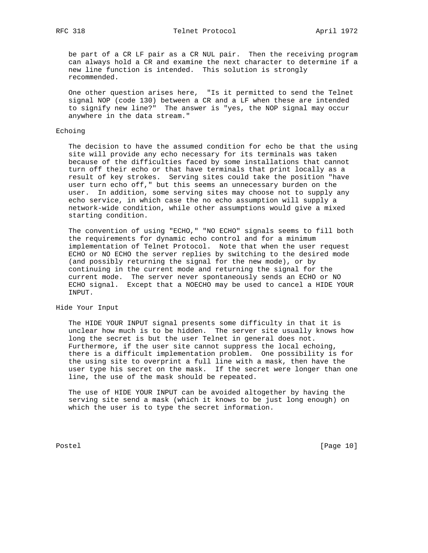be part of a CR LF pair as a CR NUL pair. Then the receiving program can always hold a CR and examine the next character to determine if a new line function is intended. This solution is strongly recommended.

 One other question arises here, "Is it permitted to send the Telnet signal NOP (code 130) between a CR and a LF when these are intended to signify new line?" The answer is "yes, the NOP signal may occur anywhere in the data stream."

## Echoing

 The decision to have the assumed condition for echo be that the using site will provide any echo necessary for its terminals was taken because of the difficulties faced by some installations that cannot turn off their echo or that have terminals that print locally as a result of key strokes. Serving sites could take the position "have user turn echo off," but this seems an unnecessary burden on the user. In addition, some serving sites may choose not to supply any echo service, in which case the no echo assumption will supply a network-wide condition, while other assumptions would give a mixed starting condition.

 The convention of using "ECHO," "NO ECHO" signals seems to fill both the requirements for dynamic echo control and for a minimum implementation of Telnet Protocol. Note that when the user request ECHO or NO ECHO the server replies by switching to the desired mode (and possibly returning the signal for the new mode), or by continuing in the current mode and returning the signal for the current mode. The server never spontaneously sends an ECHO or NO ECHO signal. Except that a NOECHO may be used to cancel a HIDE YOUR INPUT.

## Hide Your Input

 The HIDE YOUR INPUT signal presents some difficulty in that it is unclear how much is to be hidden. The server site usually knows how long the secret is but the user Telnet in general does not. Furthermore, if the user site cannot suppress the local echoing, there is a difficult implementation problem. One possibility is for the using site to overprint a full line with a mask, then have the user type his secret on the mask. If the secret were longer than one line, the use of the mask should be repeated.

 The use of HIDE YOUR INPUT can be avoided altogether by having the serving site send a mask (which it knows to be just long enough) on which the user is to type the secret information.

Postel [Page 10]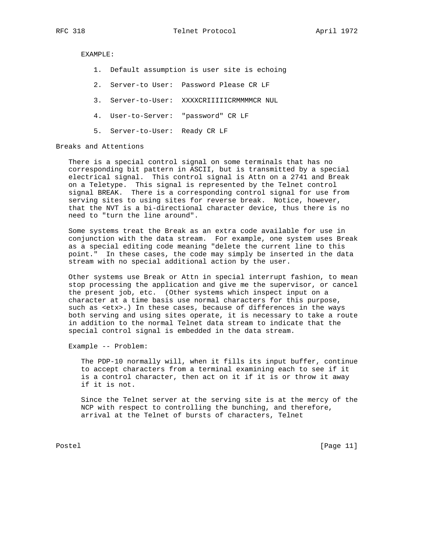EXAMPLE:

- 1. Default assumption is user site is echoing
- 2. Server-to User: Password Please CR LF
- 3. Server-to-User: XXXXCRIIIIICRMMMMCR NUL
- 4. User-to-Server: "password" CR LF
- 5. Server-to-User: Ready CR LF

Breaks and Attentions

 There is a special control signal on some terminals that has no corresponding bit pattern in ASCII, but is transmitted by a special electrical signal. This control signal is Attn on a 2741 and Break on a Teletype. This signal is represented by the Telnet control signal BREAK. There is a corresponding control signal for use from serving sites to using sites for reverse break. Notice, however, that the NVT is a bi-directional character device, thus there is no need to "turn the line around".

 Some systems treat the Break as an extra code available for use in conjunction with the data stream. For example, one system uses Break as a special editing code meaning "delete the current line to this point." In these cases, the code may simply be inserted in the data stream with no special additional action by the user.

 Other systems use Break or Attn in special interrupt fashion, to mean stop processing the application and give me the supervisor, or cancel the present job, etc. (Other systems which inspect input on a character at a time basis use normal characters for this purpose, such as <etx>.) In these cases, because of differences in the ways both serving and using sites operate, it is necessary to take a route in addition to the normal Telnet data stream to indicate that the special control signal is embedded in the data stream.

Example -- Problem:

 The PDP-10 normally will, when it fills its input buffer, continue to accept characters from a terminal examining each to see if it is a control character, then act on it if it is or throw it away if it is not.

 Since the Telnet server at the serving site is at the mercy of the NCP with respect to controlling the bunching, and therefore, arrival at the Telnet of bursts of characters, Telnet

Postel [Page 11]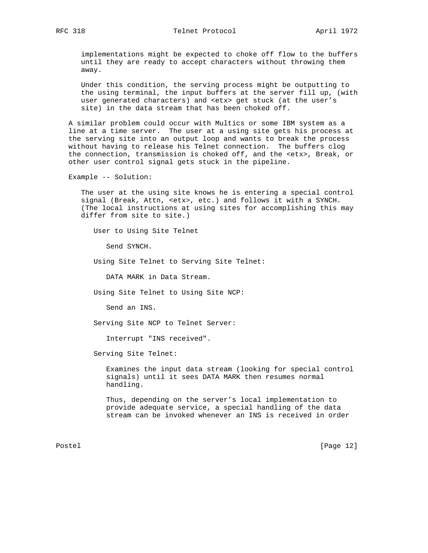implementations might be expected to choke off flow to the buffers until they are ready to accept characters without throwing them away.

 Under this condition, the serving process might be outputting to the using terminal, the input buffers at the server fill up, (with user generated characters) and <etx> get stuck (at the user's site) in the data stream that has been choked off.

 A similar problem could occur with Multics or some IBM system as a line at a time server. The user at a using site gets his process at the serving site into an output loop and wants to break the process without having to release his Telnet connection. The buffers clog the connection, transmission is choked off, and the <etx>, Break, or other user control signal gets stuck in the pipeline.

Example -- Solution:

 The user at the using site knows he is entering a special control signal (Break, Attn, <etx>, etc.) and follows it with a SYNCH. (The local instructions at using sites for accomplishing this may differ from site to site.)

User to Using Site Telnet

Send SYNCH.

Using Site Telnet to Serving Site Telnet:

DATA MARK in Data Stream.

Using Site Telnet to Using Site NCP:

Send an INS.

Serving Site NCP to Telnet Server:

Interrupt "INS received".

Serving Site Telnet:

 Examines the input data stream (looking for special control signals) until it sees DATA MARK then resumes normal handling.

 Thus, depending on the server's local implementation to provide adequate service, a special handling of the data stream can be invoked whenever an INS is received in order

Postel [Page 12]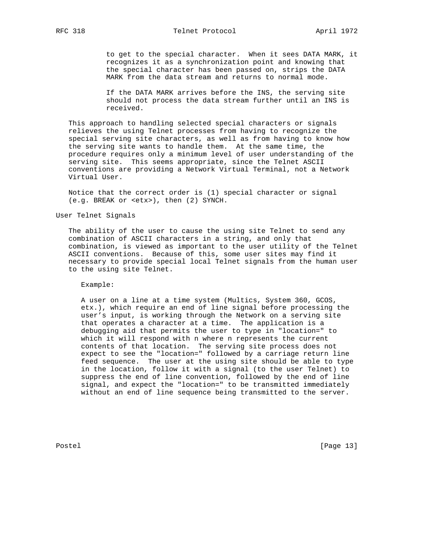to get to the special character. When it sees DATA MARK, it recognizes it as a synchronization point and knowing that the special character has been passed on, strips the DATA MARK from the data stream and returns to normal mode.

 If the DATA MARK arrives before the INS, the serving site should not process the data stream further until an INS is received.

 This approach to handling selected special characters or signals relieves the using Telnet processes from having to recognize the special serving site characters, as well as from having to know how the serving site wants to handle them. At the same time, the procedure requires only a minimum level of user understanding of the serving site. This seems appropriate, since the Telnet ASCII conventions are providing a Network Virtual Terminal, not a Network Virtual User.

 Notice that the correct order is (1) special character or signal (e.g. BREAK or <etx>), then (2) SYNCH.

User Telnet Signals

 The ability of the user to cause the using site Telnet to send any combination of ASCII characters in a string, and only that combination, is viewed as important to the user utility of the Telnet ASCII conventions. Because of this, some user sites may find it necessary to provide special local Telnet signals from the human user to the using site Telnet.

Example:

 A user on a line at a time system (Multics, System 360, GCOS, etx.), which require an end of line signal before processing the user's input, is working through the Network on a serving site that operates a character at a time. The application is a debugging aid that permits the user to type in "location=" to which it will respond with n where n represents the current contents of that location. The serving site process does not expect to see the "location=" followed by a carriage return line feed sequence. The user at the using site should be able to type in the location, follow it with a signal (to the user Telnet) to suppress the end of line convention, followed by the end of line signal, and expect the "location=" to be transmitted immediately without an end of line sequence being transmitted to the server.

Postel [Page 13]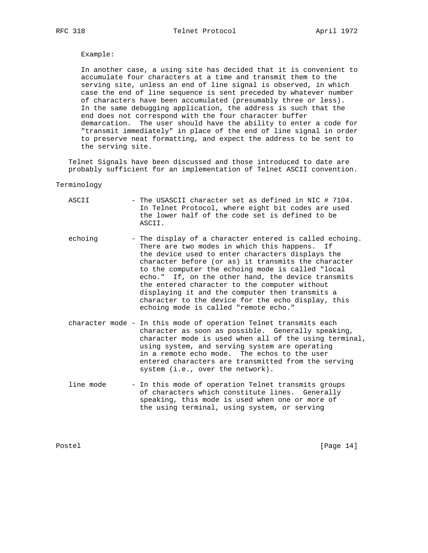# Example:

 In another case, a using site has decided that it is convenient to accumulate four characters at a time and transmit them to the serving site, unless an end of line signal is observed, in which case the end of line sequence is sent preceded by whatever number of characters have been accumulated (presumably three or less). In the same debugging application, the address is such that the end does not correspond with the four character buffer demarcation. The user should have the ability to enter a code for "transmit immediately" in place of the end of line signal in order to preserve neat formatting, and expect the address to be sent to the serving site.

 Telnet Signals have been discussed and those introduced to date are probably sufficient for an implementation of Telnet ASCII convention.

#### Terminology

| ASCII     | - The USASCII character set as defined in NIC # 7104.<br>In Telnet Protocol, where eight bit codes are used<br>the lower half of the code set is defined to be<br>ASCII.                                                                                                                                                                                                                                                                                                                                                          |
|-----------|-----------------------------------------------------------------------------------------------------------------------------------------------------------------------------------------------------------------------------------------------------------------------------------------------------------------------------------------------------------------------------------------------------------------------------------------------------------------------------------------------------------------------------------|
| echoing   | - The display of a character entered is called echoing.<br>There are two modes in which this happens. If<br>the device used to enter characters displays the<br>character before (or as) it transmits the character<br>to the computer the echoing mode is called "local<br>echo." If, on the other hand, the device transmits<br>the entered character to the computer without<br>displaying it and the computer then transmits a<br>character to the device for the echo display, this<br>echoing mode is called "remote echo." |
|           | character mode - In this mode of operation Telnet transmits each<br>character as soon as possible. Generally speaking,<br>character mode is used when all of the using terminal,<br>using system, and serving system are operating<br>in a remote echo mode. The echos to the user<br>entered characters are transmitted from the serving<br>system (i.e., over the network).                                                                                                                                                     |
| line mode | - In this mode of operation Telnet transmits groups                                                                                                                                                                                                                                                                                                                                                                                                                                                                               |

 of characters which constitute lines. Generally speaking, this mode is used when one or more of the using terminal, using system, or serving

Postel [Page 14]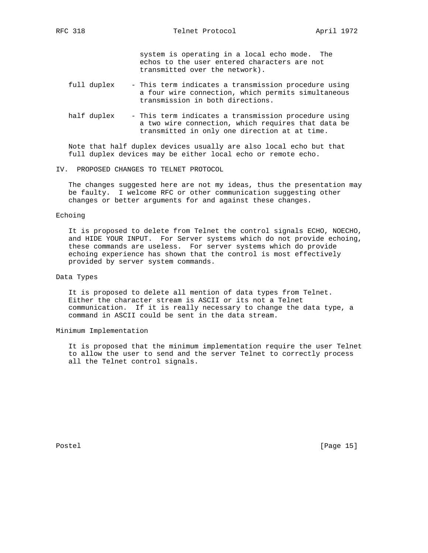system is operating in a local echo mode. The echos to the user entered characters are not transmitted over the network).

- full duplex This term indicates a transmission procedure using a four wire connection, which permits simultaneous transmission in both directions.
- half duplex This term indicates a transmission procedure using a two wire connection, which requires that data be transmitted in only one direction at at time.

 Note that half duplex devices usually are also local echo but that full duplex devices may be either local echo or remote echo.

IV. PROPOSED CHANGES TO TELNET PROTOCOL

 The changes suggested here are not my ideas, thus the presentation may be faulty. I welcome RFC or other communication suggesting other changes or better arguments for and against these changes.

## Echoing

 It is proposed to delete from Telnet the control signals ECHO, NOECHO, and HIDE YOUR INPUT. For Server systems which do not provide echoing, these commands are useless. For server systems which do provide echoing experience has shown that the control is most effectively provided by server system commands.

## Data Types

 It is proposed to delete all mention of data types from Telnet. Either the character stream is ASCII or its not a Telnet communication. If it is really necessary to change the data type, a command in ASCII could be sent in the data stream.

## Minimum Implementation

 It is proposed that the minimum implementation require the user Telnet to allow the user to send and the server Telnet to correctly process all the Telnet control signals.

Postel [Page 15]